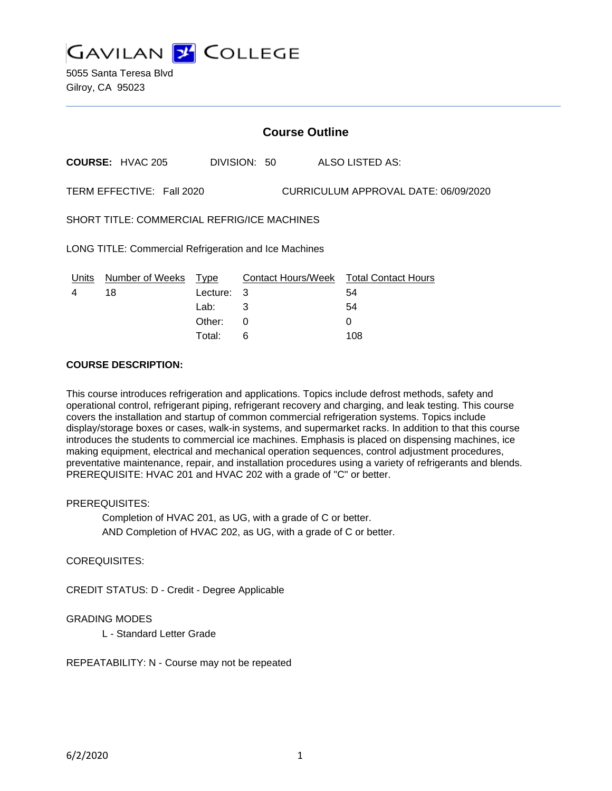

5055 Santa Teresa Blvd Gilroy, CA 95023

# **Course Outline**

**COURSE:** HVAC 205 DIVISION: 50 ALSO LISTED AS:

TERM EFFECTIVE: Fall 2020 CURRICULUM APPROVAL DATE: 06/09/2020

SHORT TITLE: COMMERCIAL REFRIG/ICE MACHINES

LONG TITLE: Commercial Refrigeration and Ice Machines

| Units | Number of Weeks Type |            | Contact Hours/Week Total Contact Hours |     |
|-------|----------------------|------------|----------------------------------------|-----|
|       | 18                   | Lecture: 3 |                                        | 54  |
|       |                      | Lab:       | - 3                                    | 54  |
|       |                      | Other:     |                                        |     |
|       |                      | Total:     |                                        | 108 |

#### **COURSE DESCRIPTION:**

This course introduces refrigeration and applications. Topics include defrost methods, safety and operational control, refrigerant piping, refrigerant recovery and charging, and leak testing. This course covers the installation and startup of common commercial refrigeration systems. Topics include display/storage boxes or cases, walk-in systems, and supermarket racks. In addition to that this course introduces the students to commercial ice machines. Emphasis is placed on dispensing machines, ice making equipment, electrical and mechanical operation sequences, control adjustment procedures, preventative maintenance, repair, and installation procedures using a variety of refrigerants and blends. PREREQUISITE: HVAC 201 and HVAC 202 with a grade of "C" or better.

#### PREREQUISITES:

Completion of HVAC 201, as UG, with a grade of C or better. AND Completion of HVAC 202, as UG, with a grade of C or better.

## COREQUISITES:

CREDIT STATUS: D - Credit - Degree Applicable

#### GRADING MODES

L - Standard Letter Grade

REPEATABILITY: N - Course may not be repeated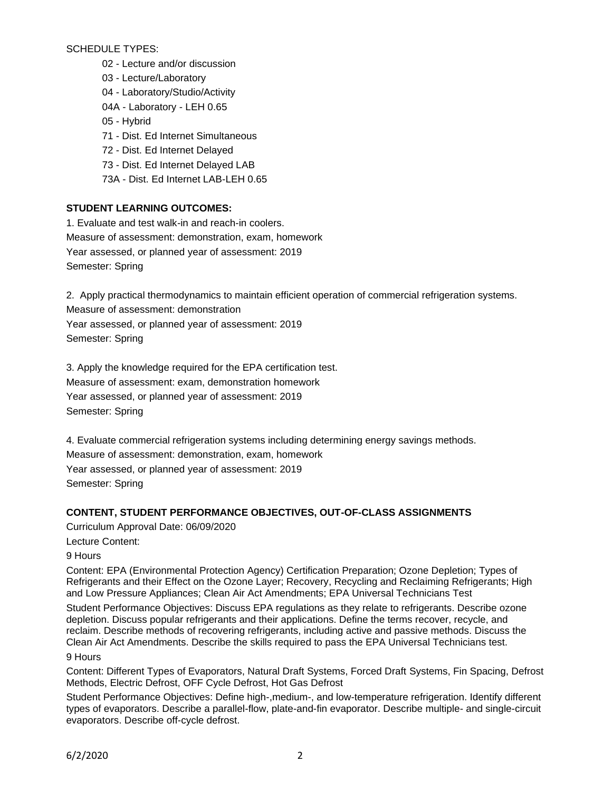SCHEDULE TYPES:

- 02 Lecture and/or discussion
- 03 Lecture/Laboratory
- 04 Laboratory/Studio/Activity
- 04A Laboratory LEH 0.65
- 05 Hybrid
- 71 Dist. Ed Internet Simultaneous
- 72 Dist. Ed Internet Delayed
- 73 Dist. Ed Internet Delayed LAB
- 73A Dist. Ed Internet LAB-LEH 0.65

# **STUDENT LEARNING OUTCOMES:**

1. Evaluate and test walk-in and reach-in coolers. Measure of assessment: demonstration, exam, homework Year assessed, or planned year of assessment: 2019 Semester: Spring

2. Apply practical thermodynamics to maintain efficient operation of commercial refrigeration systems. Measure of assessment: demonstration

Year assessed, or planned year of assessment: 2019 Semester: Spring

3. Apply the knowledge required for the EPA certification test. Measure of assessment: exam, demonstration homework Year assessed, or planned year of assessment: 2019 Semester: Spring

4. Evaluate commercial refrigeration systems including determining energy savings methods. Measure of assessment: demonstration, exam, homework

Year assessed, or planned year of assessment: 2019 Semester: Spring

## **CONTENT, STUDENT PERFORMANCE OBJECTIVES, OUT-OF-CLASS ASSIGNMENTS**

Curriculum Approval Date: 06/09/2020

Lecture Content:

9 Hours

Content: EPA (Environmental Protection Agency) Certification Preparation; Ozone Depletion; Types of Refrigerants and their Effect on the Ozone Layer; Recovery, Recycling and Reclaiming Refrigerants; High and Low Pressure Appliances; Clean Air Act Amendments; EPA Universal Technicians Test

Student Performance Objectives: Discuss EPA regulations as they relate to refrigerants. Describe ozone depletion. Discuss popular refrigerants and their applications. Define the terms recover, recycle, and reclaim. Describe methods of recovering refrigerants, including active and passive methods. Discuss the Clean Air Act Amendments. Describe the skills required to pass the EPA Universal Technicians test. 9 Hours

Content: Different Types of Evaporators, Natural Draft Systems, Forced Draft Systems, Fin Spacing, Defrost Methods, Electric Defrost, OFF Cycle Defrost, Hot Gas Defrost

Student Performance Objectives: Define high-,medium-, and low-temperature refrigeration. Identify different types of evaporators. Describe a parallel-flow, plate-and-fin evaporator. Describe multiple- and single-circuit evaporators. Describe off-cycle defrost.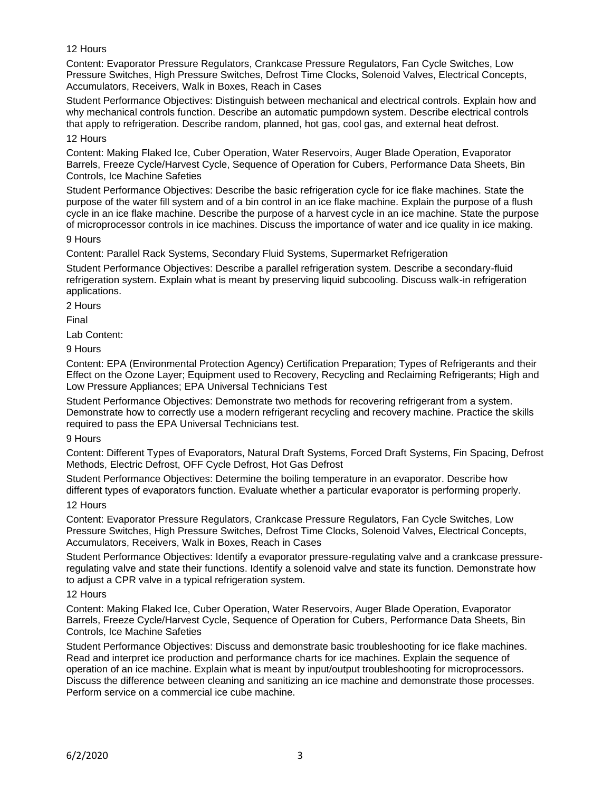## 12 Hours

Content: Evaporator Pressure Regulators, Crankcase Pressure Regulators, Fan Cycle Switches, Low Pressure Switches, High Pressure Switches, Defrost Time Clocks, Solenoid Valves, Electrical Concepts, Accumulators, Receivers, Walk in Boxes, Reach in Cases

Student Performance Objectives: Distinguish between mechanical and electrical controls. Explain how and why mechanical controls function. Describe an automatic pumpdown system. Describe electrical controls that apply to refrigeration. Describe random, planned, hot gas, cool gas, and external heat defrost.

# 12 Hours

Content: Making Flaked Ice, Cuber Operation, Water Reservoirs, Auger Blade Operation, Evaporator Barrels, Freeze Cycle/Harvest Cycle, Sequence of Operation for Cubers, Performance Data Sheets, Bin Controls, Ice Machine Safeties

Student Performance Objectives: Describe the basic refrigeration cycle for ice flake machines. State the purpose of the water fill system and of a bin control in an ice flake machine. Explain the purpose of a flush cycle in an ice flake machine. Describe the purpose of a harvest cycle in an ice machine. State the purpose of microprocessor controls in ice machines. Discuss the importance of water and ice quality in ice making.

#### 9 Hours

Content: Parallel Rack Systems, Secondary Fluid Systems, Supermarket Refrigeration

Student Performance Objectives: Describe a parallel refrigeration system. Describe a secondary-fluid refrigeration system. Explain what is meant by preserving liquid subcooling. Discuss walk-in refrigeration applications.

2 Hours

Final

Lab Content:

9 Hours

Content: EPA (Environmental Protection Agency) Certification Preparation; Types of Refrigerants and their Effect on the Ozone Layer; Equipment used to Recovery, Recycling and Reclaiming Refrigerants; High and Low Pressure Appliances; EPA Universal Technicians Test

Student Performance Objectives: Demonstrate two methods for recovering refrigerant from a system. Demonstrate how to correctly use a modern refrigerant recycling and recovery machine. Practice the skills required to pass the EPA Universal Technicians test.

## 9 Hours

Content: Different Types of Evaporators, Natural Draft Systems, Forced Draft Systems, Fin Spacing, Defrost Methods, Electric Defrost, OFF Cycle Defrost, Hot Gas Defrost

Student Performance Objectives: Determine the boiling temperature in an evaporator. Describe how different types of evaporators function. Evaluate whether a particular evaporator is performing properly.

## 12 Hours

Content: Evaporator Pressure Regulators, Crankcase Pressure Regulators, Fan Cycle Switches, Low Pressure Switches, High Pressure Switches, Defrost Time Clocks, Solenoid Valves, Electrical Concepts, Accumulators, Receivers, Walk in Boxes, Reach in Cases

Student Performance Objectives: Identify a evaporator pressure-regulating valve and a crankcase pressureregulating valve and state their functions. Identify a solenoid valve and state its function. Demonstrate how to adjust a CPR valve in a typical refrigeration system.

## 12 Hours

Content: Making Flaked Ice, Cuber Operation, Water Reservoirs, Auger Blade Operation, Evaporator Barrels, Freeze Cycle/Harvest Cycle, Sequence of Operation for Cubers, Performance Data Sheets, Bin Controls, Ice Machine Safeties

Student Performance Objectives: Discuss and demonstrate basic troubleshooting for ice flake machines. Read and interpret ice production and performance charts for ice machines. Explain the sequence of operation of an ice machine. Explain what is meant by input/output troubleshooting for microprocessors. Discuss the difference between cleaning and sanitizing an ice machine and demonstrate those processes. Perform service on a commercial ice cube machine.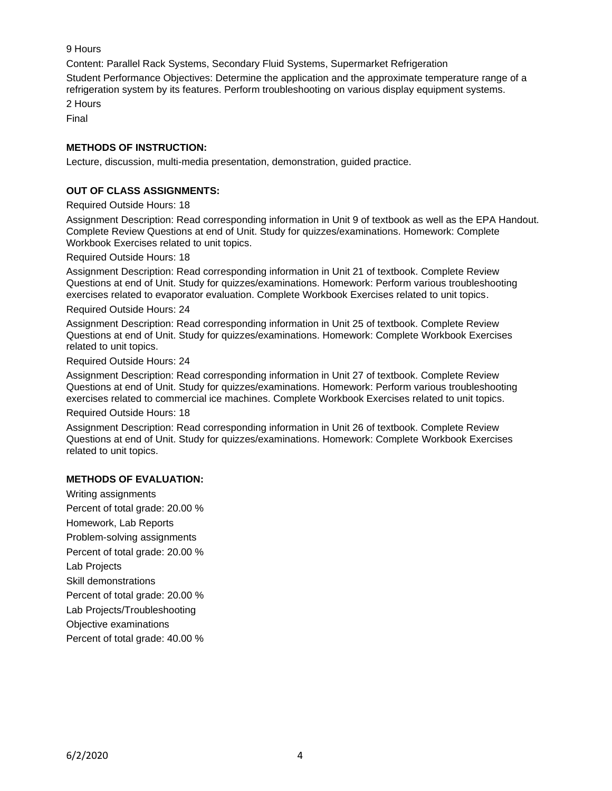9 Hours

Content: Parallel Rack Systems, Secondary Fluid Systems, Supermarket Refrigeration

Student Performance Objectives: Determine the application and the approximate temperature range of a refrigeration system by its features. Perform troubleshooting on various display equipment systems.

2 Hours

Final

# **METHODS OF INSTRUCTION:**

Lecture, discussion, multi-media presentation, demonstration, guided practice.

# **OUT OF CLASS ASSIGNMENTS:**

Required Outside Hours: 18

Assignment Description: Read corresponding information in Unit 9 of textbook as well as the EPA Handout. Complete Review Questions at end of Unit. Study for quizzes/examinations. Homework: Complete Workbook Exercises related to unit topics.

Required Outside Hours: 18

Assignment Description: Read corresponding information in Unit 21 of textbook. Complete Review Questions at end of Unit. Study for quizzes/examinations. Homework: Perform various troubleshooting exercises related to evaporator evaluation. Complete Workbook Exercises related to unit topics.

#### Required Outside Hours: 24

Assignment Description: Read corresponding information in Unit 25 of textbook. Complete Review Questions at end of Unit. Study for quizzes/examinations. Homework: Complete Workbook Exercises related to unit topics.

Required Outside Hours: 24

Assignment Description: Read corresponding information in Unit 27 of textbook. Complete Review Questions at end of Unit. Study for quizzes/examinations. Homework: Perform various troubleshooting exercises related to commercial ice machines. Complete Workbook Exercises related to unit topics.

Required Outside Hours: 18

Assignment Description: Read corresponding information in Unit 26 of textbook. Complete Review Questions at end of Unit. Study for quizzes/examinations. Homework: Complete Workbook Exercises related to unit topics.

## **METHODS OF EVALUATION:**

Writing assignments Percent of total grade: 20.00 % Homework, Lab Reports Problem-solving assignments Percent of total grade: 20.00 % Lab Projects Skill demonstrations Percent of total grade: 20.00 % Lab Projects/Troubleshooting Objective examinations Percent of total grade: 40.00 %